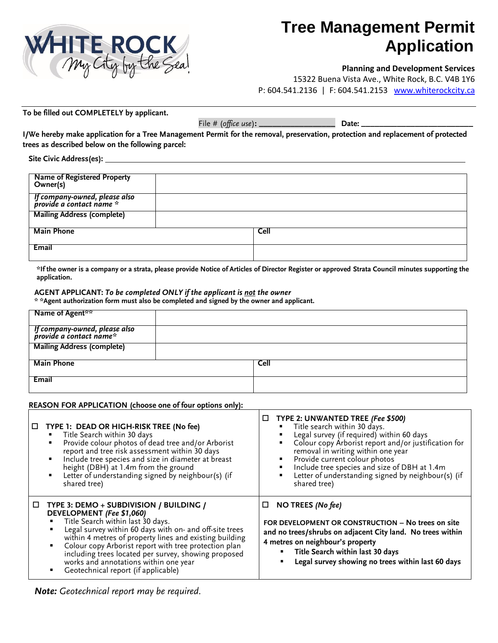

# **Tree Management Permit Application**

## **Planning and Development Services**

15322 Buena Vista Ave., White Rock, B.C. V4B 1Y6 P: 604.541.2136 | F: 604.541.2153 [www.whiterockcity.ca](http://www.whiterockcity.ca/)

**To be filled out COMPLETELY by applicant.**

File # (*office use*)**: \_\_\_\_\_\_\_\_\_\_\_\_\_\_\_\_\_ Date: \_\_\_\_\_\_\_\_\_\_\_\_\_\_\_\_\_\_\_\_\_\_\_\_\_**

**I/We hereby make application for a Tree Management Permit for the removal, preservation, protection and replacement of protected trees as described below on the following parcel:**

**Site Civic Address(es):** 

| Name of Registered Property<br>Owner(s)                   |             |
|-----------------------------------------------------------|-------------|
| lf company-owned, please also<br>provide a contact name * |             |
| <b>Mailing Address (complete)</b>                         |             |
| <b>Main Phone</b>                                         | <b>Cell</b> |
| <b>Email</b>                                              |             |

**\*If the owner is a company or a strata, please provide Notice of Articles of Director Register or approved Strata Council minutes supporting the application.**

#### **AGENT APPLICANT:** *To be completed ONLY if the applicant is not the owner*

**\* \*Agent authorization form must also be completed and signed by the owner and applicant.**

| Name of Agent**                                          |             |  |
|----------------------------------------------------------|-------------|--|
| lf company-owned, please also<br>provide a contact name* |             |  |
| <b>Mailing Address (complete)</b>                        |             |  |
| <b>Main Phone</b>                                        | <b>Cell</b> |  |
| Email                                                    |             |  |

## **REASON FOR APPLICATION (choose one of four options only):**

|   | $\Box$ TYPE 1: DEAD OR HIGH-RISK TREE (No fee)<br>Title Search within 30 days<br>Provide colour photos of dead tree and/or Arborist<br>٠<br>report and tree risk assessment within 30 days<br>Include tree species and size in diameter at breast<br>٠<br>height (DBH) at 1.4m from the ground<br>Letter of understanding signed by neighbour(s) (if<br>٠<br>shared tree)                                                                  | □<br>TYPE 2: UNWANTED TREE (Fee \$500)<br>"Title search within 30 days.<br>Legal survey (if required) within 60 days<br>Colour copy Arborist report and/or justification for<br>removal in writing within one year<br>• Provide current colour photos<br>Include tree species and size of DBH at 1.4m<br>Letter of understanding signed by neighbour(s) (if<br>shared tree) |
|---|--------------------------------------------------------------------------------------------------------------------------------------------------------------------------------------------------------------------------------------------------------------------------------------------------------------------------------------------------------------------------------------------------------------------------------------------|-----------------------------------------------------------------------------------------------------------------------------------------------------------------------------------------------------------------------------------------------------------------------------------------------------------------------------------------------------------------------------|
| □ | TYPE 3: DEMO + SUBDIVISION / BUILDING /<br>DEVELOPMENT (Fee \$1,060)<br>Title Search within last 30 days.<br>Legal survey within 60 days with on- and off-site trees<br>within 4 metres of property lines and existing building<br>Colour copy Arborist report with tree protection plan<br>٠<br>including trees located per survey, showing proposed<br>works and annotations within one year<br>Geotechnical report (if applicable)<br>٠ | NO TREES (No fee)<br>□<br>FOR DEVELOPMENT OR CONSTRUCTION - No trees on site<br>and no trees/shrubs on adjacent City land. No trees within<br>4 metres on neighbour's property<br>Title Search within last 30 days<br>Legal survey showing no trees within last 60 days                                                                                                     |

*Note: Geotechnical report may be required.*